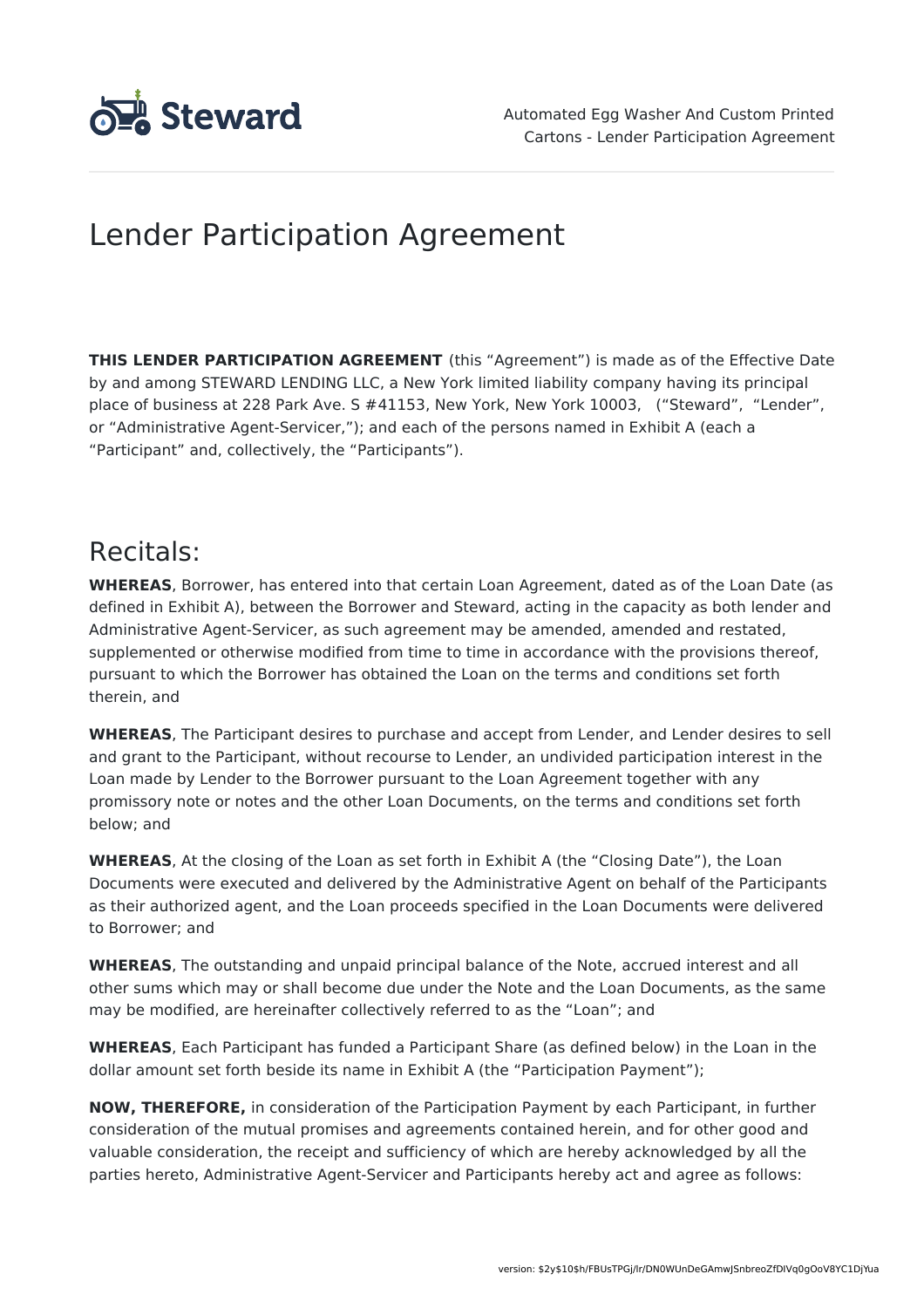

# Lender Participation Agreement

**THIS LENDER PARTICIPATION AGREEMENT** (this "Agreement") is made as of the Effective Date by and among STEWARD LENDING LLC, a New York limited liability company having its principal place of business at 228 Park Ave. S #41153, New York, New York 10003, ("Steward", "Lender", or "Administrative Agent-Servicer,"); and each of the persons named in Exhibit A (each a "Participant" and, collectively, the "Participants").

### Recitals:

**WHEREAS**, Borrower, has entered into that certain Loan Agreement, dated as of the Loan Date (as defined in Exhibit A), between the Borrower and Steward, acting in the capacity as both lender and Administrative Agent-Servicer, as such agreement may be amended, amended and restated, supplemented or otherwise modified from time to time in accordance with the provisions thereof, pursuant to which the Borrower has obtained the Loan on the terms and conditions set forth therein, and

**WHEREAS**, The Participant desires to purchase and accept from Lender, and Lender desires to sell and grant to the Participant, without recourse to Lender, an undivided participation interest in the Loan made by Lender to the Borrower pursuant to the Loan Agreement together with any promissory note or notes and the other Loan Documents, on the terms and conditions set forth below; and

**WHEREAS**, At the closing of the Loan as set forth in Exhibit A (the "Closing Date"), the Loan Documents were executed and delivered by the Administrative Agent on behalf of the Participants as their authorized agent, and the Loan proceeds specified in the Loan Documents were delivered to Borrower; and

**WHEREAS**, The outstanding and unpaid principal balance of the Note, accrued interest and all other sums which may or shall become due under the Note and the Loan Documents, as the same may be modified, are hereinafter collectively referred to as the "Loan"; and

**WHEREAS**, Each Participant has funded a Participant Share (as defined below) in the Loan in the dollar amount set forth beside its name in Exhibit A (the "Participation Payment");

**NOW, THEREFORE,** in consideration of the Participation Payment by each Participant, in further consideration of the mutual promises and agreements contained herein, and for other good and valuable consideration, the receipt and sufficiency of which are hereby acknowledged by all the parties hereto, Administrative Agent-Servicer and Participants hereby act and agree as follows: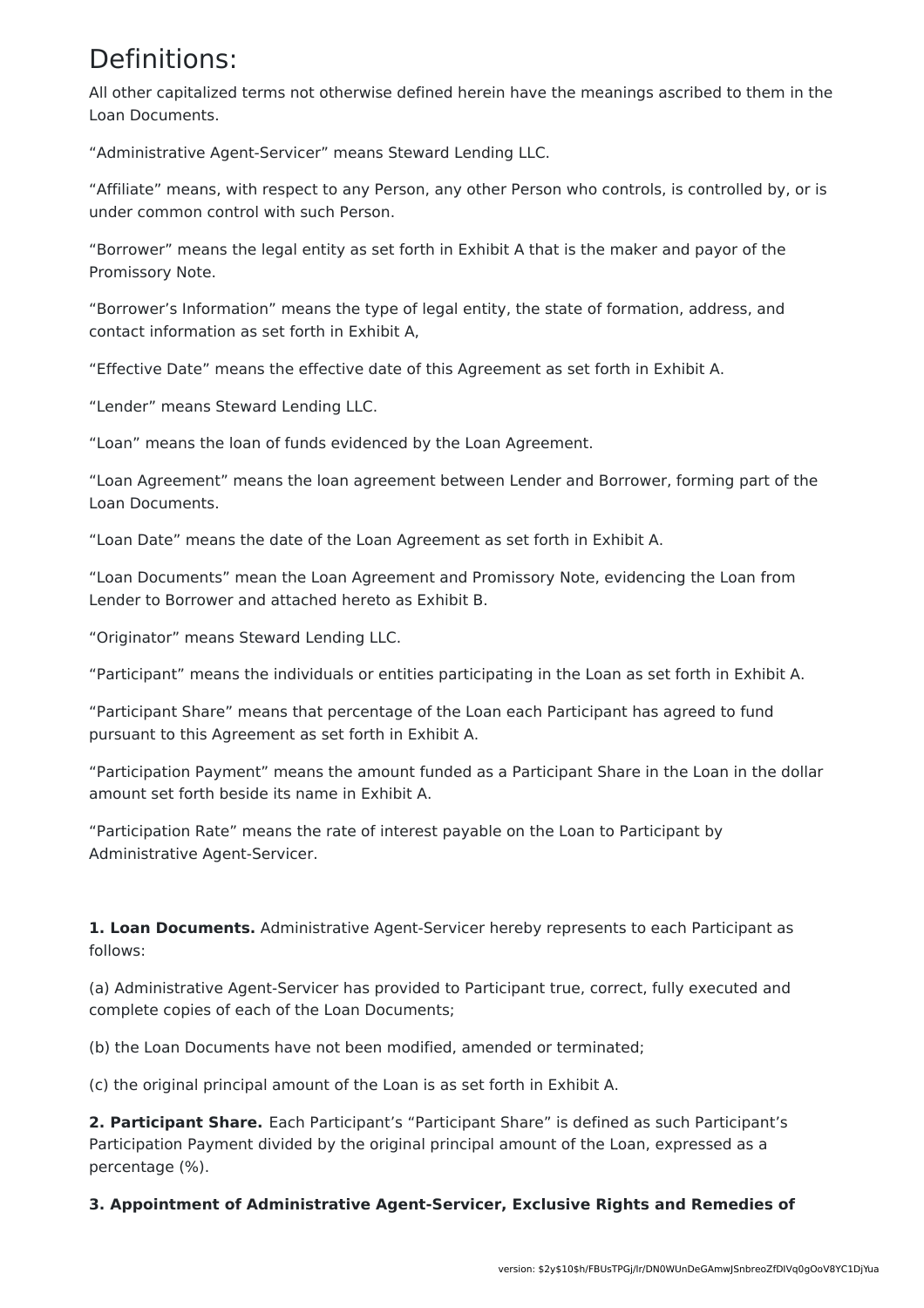### Definitions:

All other capitalized terms not otherwise defined herein have the meanings ascribed to them in the Loan Documents.

"Administrative Agent-Servicer" means Steward Lending LLC.

"Affiliate" means, with respect to any Person, any other Person who controls, is controlled by, or is under common control with such Person.

"Borrower" means the legal entity as set forth in Exhibit A that is the maker and payor of the Promissory Note.

"Borrower's Information" means the type of legal entity, the state of formation, address, and contact information as set forth in Exhibit A,

"Effective Date" means the effective date of this Agreement as set forth in Exhibit A.

"Lender" means Steward Lending LLC.

"Loan" means the loan of funds evidenced by the Loan Agreement.

"Loan Agreement" means the loan agreement between Lender and Borrower, forming part of the Loan Documents.

"Loan Date" means the date of the Loan Agreement as set forth in Exhibit A.

"Loan Documents" mean the Loan Agreement and Promissory Note, evidencing the Loan from Lender to Borrower and attached hereto as Exhibit B.

"Originator" means Steward Lending LLC.

"Participant" means the individuals or entities participating in the Loan as set forth in Exhibit A.

"Participant Share" means that percentage of the Loan each Participant has agreed to fund pursuant to this Agreement as set forth in Exhibit A.

"Participation Payment" means the amount funded as a Participant Share in the Loan in the dollar amount set forth beside its name in Exhibit A.

"Participation Rate" means the rate of interest payable on the Loan to Participant by Administrative Agent-Servicer.

**1. Loan Documents.** Administrative Agent-Servicer hereby represents to each Participant as follows:

(a) Administrative Agent-Servicer has provided to Participant true, correct, fully executed and complete copies of each of the Loan Documents;

(b) the Loan Documents have not been modified, amended or terminated;

(c) the original principal amount of the Loan is as set forth in Exhibit A.

**2. Participant Share.** Each Participant's "Participant Share" is defined as such Participant's Participation Payment divided by the original principal amount of the Loan, expressed as a percentage (%).

**3. Appointment of Administrative Agent-Servicer, Exclusive Rights and Remedies of**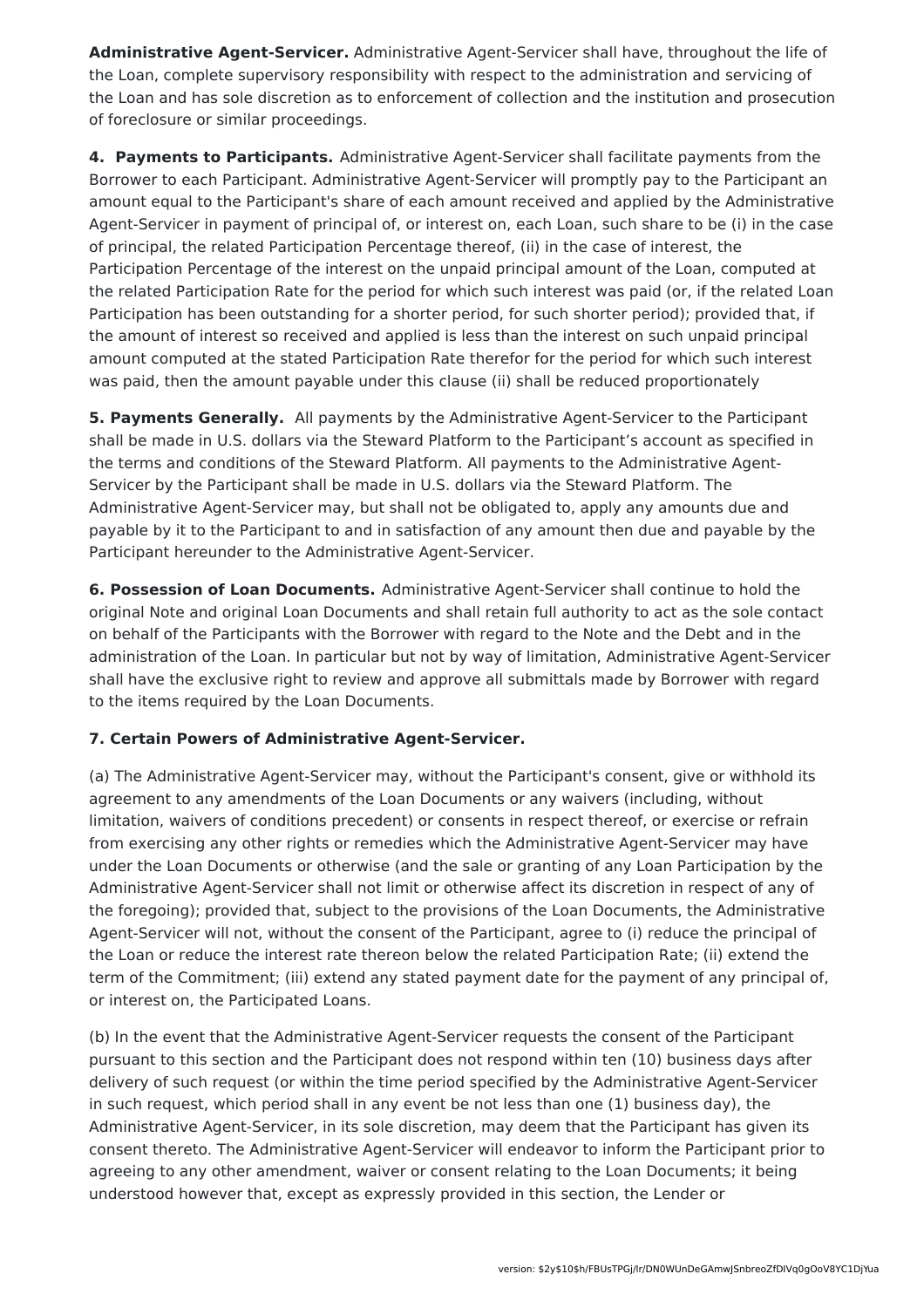**Administrative Agent-Servicer.** Administrative Agent-Servicer shall have, throughout the life of the Loan, complete supervisory responsibility with respect to the administration and servicing of the Loan and has sole discretion as to enforcement of collection and the institution and prosecution of foreclosure or similar proceedings.

**4. Payments to Participants.** Administrative Agent-Servicer shall facilitate payments from the Borrower to each Participant. Administrative Agent-Servicer will promptly pay to the Participant an amount equal to the Participant's share of each amount received and applied by the Administrative Agent-Servicer in payment of principal of, or interest on, each Loan, such share to be (i) in the case of principal, the related Participation Percentage thereof, (ii) in the case of interest, the Participation Percentage of the interest on the unpaid principal amount of the Loan, computed at the related Participation Rate for the period for which such interest was paid (or, if the related Loan Participation has been outstanding for a shorter period, for such shorter period); provided that, if the amount of interest so received and applied is less than the interest on such unpaid principal amount computed at the stated Participation Rate therefor for the period for which such interest was paid, then the amount payable under this clause (ii) shall be reduced proportionately

**5. Payments Generally.** All payments by the Administrative Agent-Servicer to the Participant shall be made in U.S. dollars via the Steward Platform to the Participant's account as specified in the terms and conditions of the Steward Platform. All payments to the Administrative Agent-Servicer by the Participant shall be made in U.S. dollars via the Steward Platform. The Administrative Agent-Servicer may, but shall not be obligated to, apply any amounts due and payable by it to the Participant to and in satisfaction of any amount then due and payable by the Participant hereunder to the Administrative Agent-Servicer.

**6. Possession of Loan Documents.** Administrative Agent-Servicer shall continue to hold the original Note and original Loan Documents and shall retain full authority to act as the sole contact on behalf of the Participants with the Borrower with regard to the Note and the Debt and in the administration of the Loan. In particular but not by way of limitation, Administrative Agent-Servicer shall have the exclusive right to review and approve all submittals made by Borrower with regard to the items required by the Loan Documents.

#### **7. Certain Powers of Administrative Agent-Servicer.**

(a) The Administrative Agent-Servicer may, without the Participant's consent, give or withhold its agreement to any amendments of the Loan Documents or any waivers (including, without limitation, waivers of conditions precedent) or consents in respect thereof, or exercise or refrain from exercising any other rights or remedies which the Administrative Agent-Servicer may have under the Loan Documents or otherwise (and the sale or granting of any Loan Participation by the Administrative Agent-Servicer shall not limit or otherwise affect its discretion in respect of any of the foregoing); provided that, subject to the provisions of the Loan Documents, the Administrative Agent-Servicer will not, without the consent of the Participant, agree to (i) reduce the principal of the Loan or reduce the interest rate thereon below the related Participation Rate; (ii) extend the term of the Commitment; (iii) extend any stated payment date for the payment of any principal of, or interest on, the Participated Loans.

(b) In the event that the Administrative Agent-Servicer requests the consent of the Participant pursuant to this section and the Participant does not respond within ten (10) business days after delivery of such request (or within the time period specified by the Administrative Agent-Servicer in such request, which period shall in any event be not less than one (1) business day), the Administrative Agent-Servicer, in its sole discretion, may deem that the Participant has given its consent thereto. The Administrative Agent-Servicer will endeavor to inform the Participant prior to agreeing to any other amendment, waiver or consent relating to the Loan Documents; it being understood however that, except as expressly provided in this section, the Lender or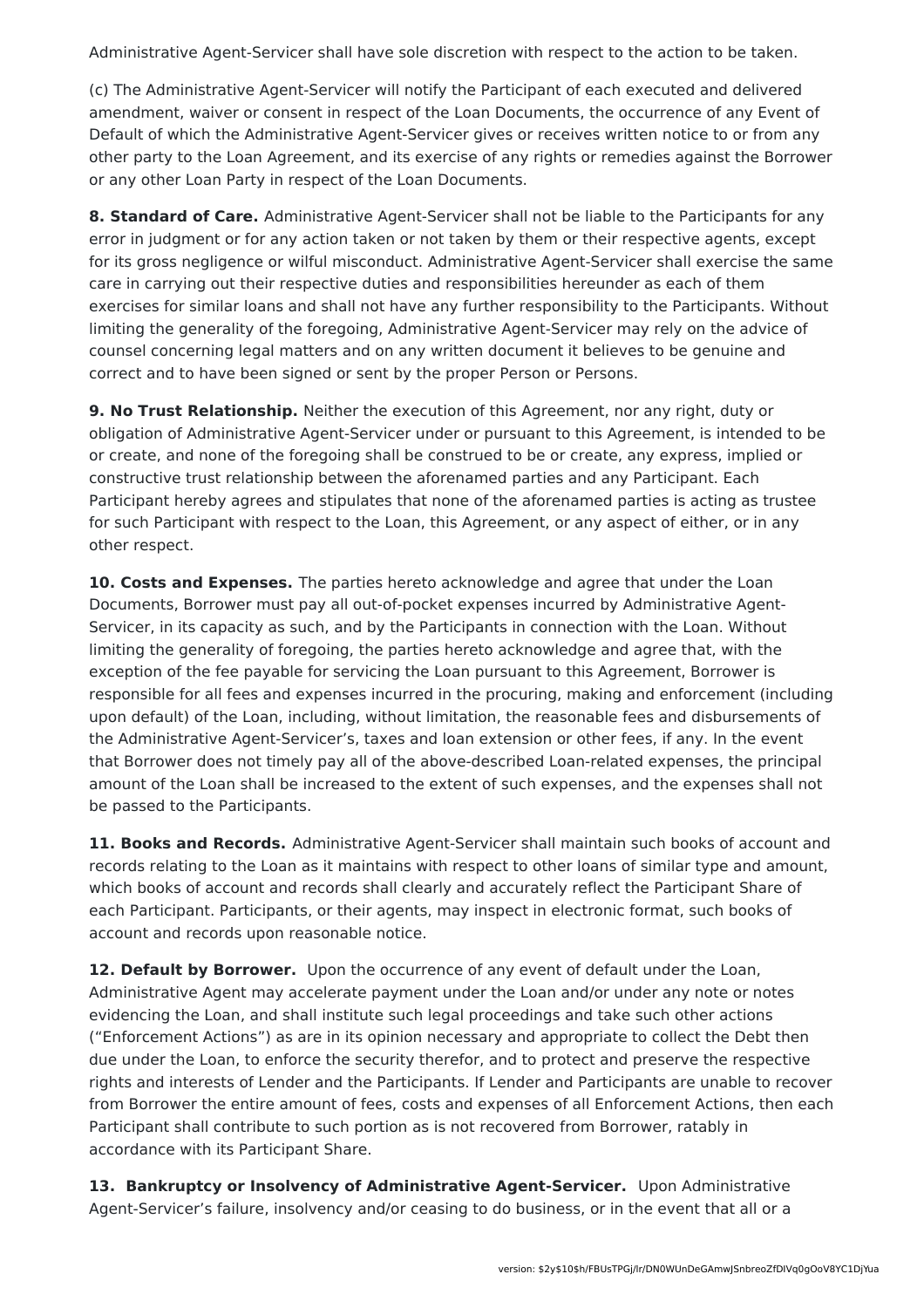Administrative Agent-Servicer shall have sole discretion with respect to the action to be taken.

(c) The Administrative Agent-Servicer will notify the Participant of each executed and delivered amendment, waiver or consent in respect of the Loan Documents, the occurrence of any Event of Default of which the Administrative Agent-Servicer gives or receives written notice to or from any other party to the Loan Agreement, and its exercise of any rights or remedies against the Borrower or any other Loan Party in respect of the Loan Documents.

**8. Standard of Care.** Administrative Agent-Servicer shall not be liable to the Participants for any error in judgment or for any action taken or not taken by them or their respective agents, except for its gross negligence or wilful misconduct. Administrative Agent-Servicer shall exercise the same care in carrying out their respective duties and responsibilities hereunder as each of them exercises for similar loans and shall not have any further responsibility to the Participants. Without limiting the generality of the foregoing, Administrative Agent-Servicer may rely on the advice of counsel concerning legal matters and on any written document it believes to be genuine and correct and to have been signed or sent by the proper Person or Persons.

**9. No Trust Relationship.** Neither the execution of this Agreement, nor any right, duty or obligation of Administrative Agent-Servicer under or pursuant to this Agreement, is intended to be or create, and none of the foregoing shall be construed to be or create, any express, implied or constructive trust relationship between the aforenamed parties and any Participant. Each Participant hereby agrees and stipulates that none of the aforenamed parties is acting as trustee for such Participant with respect to the Loan, this Agreement, or any aspect of either, or in any other respect.

**10. Costs and Expenses.** The parties hereto acknowledge and agree that under the Loan Documents, Borrower must pay all out-of-pocket expenses incurred by Administrative Agent-Servicer, in its capacity as such, and by the Participants in connection with the Loan. Without limiting the generality of foregoing, the parties hereto acknowledge and agree that, with the exception of the fee payable for servicing the Loan pursuant to this Agreement, Borrower is responsible for all fees and expenses incurred in the procuring, making and enforcement (including upon default) of the Loan, including, without limitation, the reasonable fees and disbursements of the Administrative Agent-Servicer's, taxes and loan extension or other fees, if any. In the event that Borrower does not timely pay all of the above-described Loan-related expenses, the principal amount of the Loan shall be increased to the extent of such expenses, and the expenses shall not be passed to the Participants.

**11. Books and Records.** Administrative Agent-Servicer shall maintain such books of account and records relating to the Loan as it maintains with respect to other loans of similar type and amount, which books of account and records shall clearly and accurately reflect the Participant Share of each Participant. Participants, or their agents, may inspect in electronic format, such books of account and records upon reasonable notice.

**12. Default by Borrower.** Upon the occurrence of any event of default under the Loan, Administrative Agent may accelerate payment under the Loan and/or under any note or notes evidencing the Loan, and shall institute such legal proceedings and take such other actions ("Enforcement Actions") as are in its opinion necessary and appropriate to collect the Debt then due under the Loan, to enforce the security therefor, and to protect and preserve the respective rights and interests of Lender and the Participants. If Lender and Participants are unable to recover from Borrower the entire amount of fees, costs and expenses of all Enforcement Actions, then each Participant shall contribute to such portion as is not recovered from Borrower, ratably in accordance with its Participant Share.

**13. Bankruptcy or Insolvency of Administrative Agent-Servicer.** Upon Administrative Agent-Servicer's failure, insolvency and/or ceasing to do business, or in the event that all or a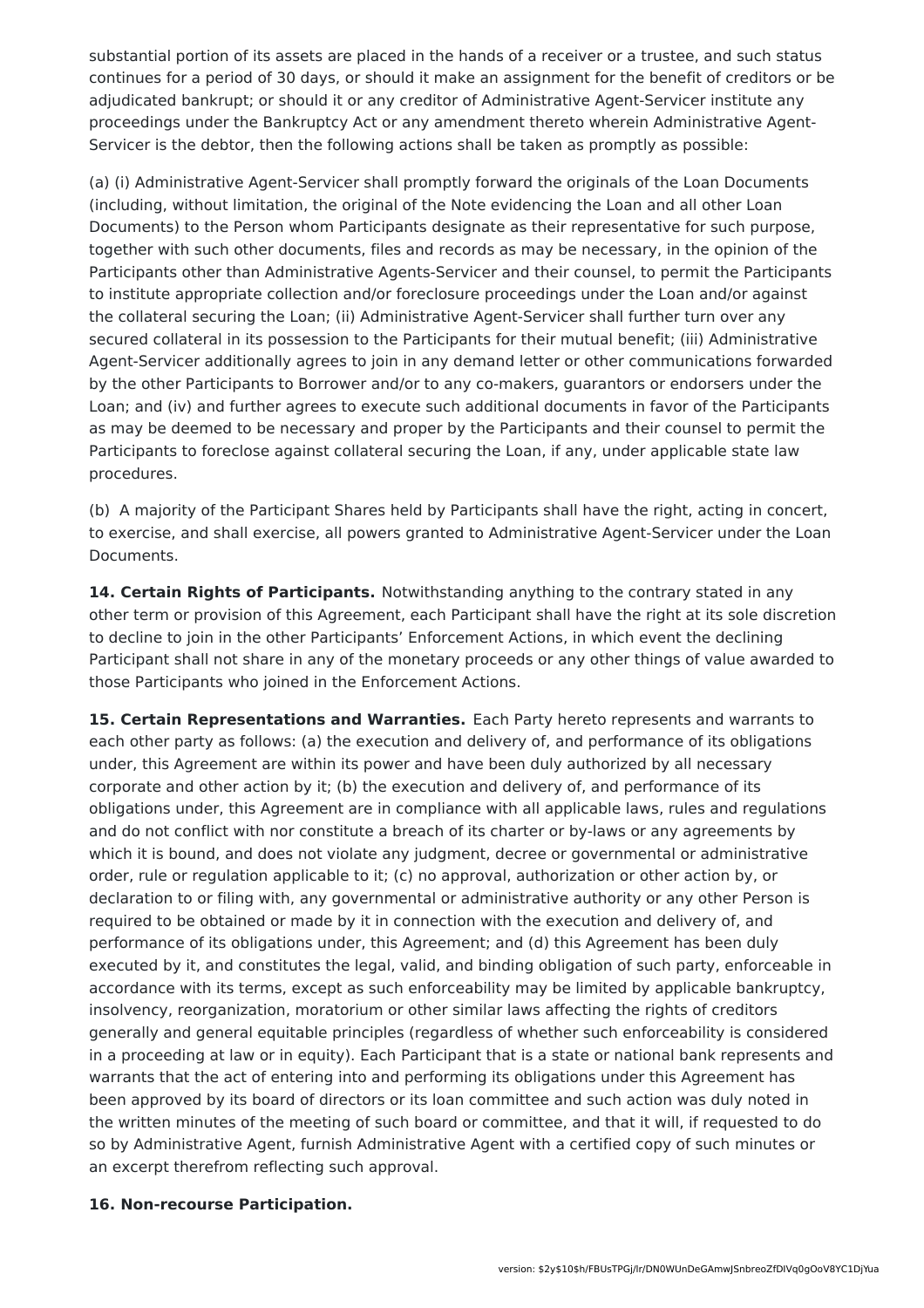substantial portion of its assets are placed in the hands of a receiver or a trustee, and such status continues for a period of 30 days, or should it make an assignment for the benefit of creditors or be adjudicated bankrupt; or should it or any creditor of Administrative Agent-Servicer institute any proceedings under the Bankruptcy Act or any amendment thereto wherein Administrative Agent-Servicer is the debtor, then the following actions shall be taken as promptly as possible:

(a) (i) Administrative Agent-Servicer shall promptly forward the originals of the Loan Documents (including, without limitation, the original of the Note evidencing the Loan and all other Loan Documents) to the Person whom Participants designate as their representative for such purpose, together with such other documents, files and records as may be necessary, in the opinion of the Participants other than Administrative Agents-Servicer and their counsel, to permit the Participants to institute appropriate collection and/or foreclosure proceedings under the Loan and/or against the collateral securing the Loan; (ii) Administrative Agent-Servicer shall further turn over any secured collateral in its possession to the Participants for their mutual benefit; (iii) Administrative Agent-Servicer additionally agrees to join in any demand letter or other communications forwarded by the other Participants to Borrower and/or to any co-makers, guarantors or endorsers under the Loan; and (iv) and further agrees to execute such additional documents in favor of the Participants as may be deemed to be necessary and proper by the Participants and their counsel to permit the Participants to foreclose against collateral securing the Loan, if any, under applicable state law procedures.

(b) A majority of the Participant Shares held by Participants shall have the right, acting in concert, to exercise, and shall exercise, all powers granted to Administrative Agent-Servicer under the Loan Documents.

**14. Certain Rights of Participants.** Notwithstanding anything to the contrary stated in any other term or provision of this Agreement, each Participant shall have the right at its sole discretion to decline to join in the other Participants' Enforcement Actions, in which event the declining Participant shall not share in any of the monetary proceeds or any other things of value awarded to those Participants who joined in the Enforcement Actions.

**15. Certain Representations and Warranties.** Each Party hereto represents and warrants to each other party as follows: (a) the execution and delivery of, and performance of its obligations under, this Agreement are within its power and have been duly authorized by all necessary corporate and other action by it; (b) the execution and delivery of, and performance of its obligations under, this Agreement are in compliance with all applicable laws, rules and regulations and do not conflict with nor constitute a breach of its charter or by-laws or any agreements by which it is bound, and does not violate any judgment, decree or governmental or administrative order, rule or regulation applicable to it; (c) no approval, authorization or other action by, or declaration to or filing with, any governmental or administrative authority or any other Person is required to be obtained or made by it in connection with the execution and delivery of, and performance of its obligations under, this Agreement; and (d) this Agreement has been duly executed by it, and constitutes the legal, valid, and binding obligation of such party, enforceable in accordance with its terms, except as such enforceability may be limited by applicable bankruptcy, insolvency, reorganization, moratorium or other similar laws affecting the rights of creditors generally and general equitable principles (regardless of whether such enforceability is considered in a proceeding at law or in equity). Each Participant that is a state or national bank represents and warrants that the act of entering into and performing its obligations under this Agreement has been approved by its board of directors or its loan committee and such action was duly noted in the written minutes of the meeting of such board or committee, and that it will, if requested to do so by Administrative Agent, furnish Administrative Agent with a certified copy of such minutes or an excerpt therefrom reflecting such approval.

#### **16. Non-recourse Participation.**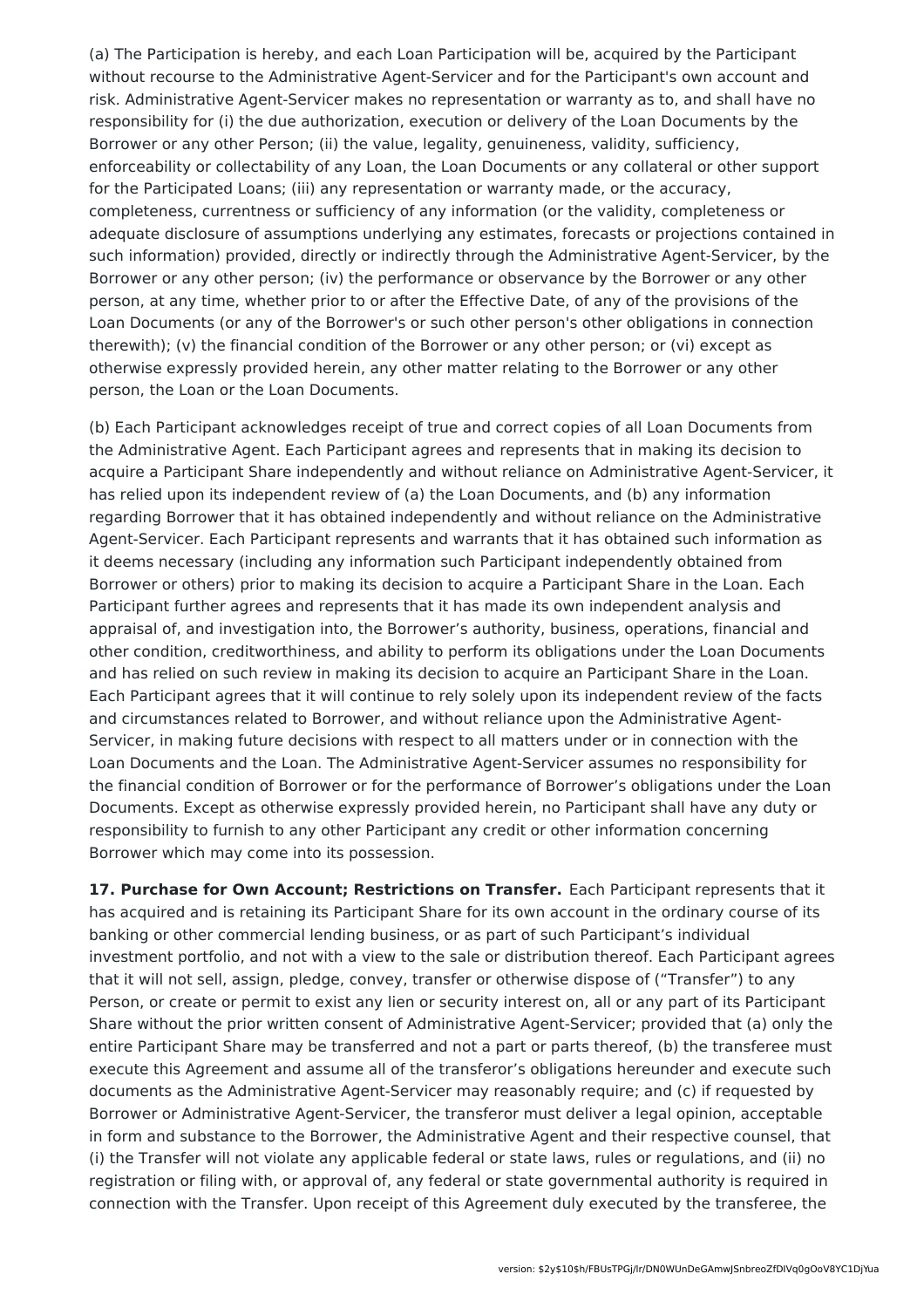(a) The Participation is hereby, and each Loan Participation will be, acquired by the Participant without recourse to the Administrative Agent-Servicer and for the Participant's own account and risk. Administrative Agent-Servicer makes no representation or warranty as to, and shall have no responsibility for (i) the due authorization, execution or delivery of the Loan Documents by the Borrower or any other Person; (ii) the value, legality, genuineness, validity, sufficiency, enforceability or collectability of any Loan, the Loan Documents or any collateral or other support for the Participated Loans; (iii) any representation or warranty made, or the accuracy, completeness, currentness or sufficiency of any information (or the validity, completeness or adequate disclosure of assumptions underlying any estimates, forecasts or projections contained in such information) provided, directly or indirectly through the Administrative Agent-Servicer, by the Borrower or any other person; (iv) the performance or observance by the Borrower or any other person, at any time, whether prior to or after the Effective Date, of any of the provisions of the Loan Documents (or any of the Borrower's or such other person's other obligations in connection therewith); (v) the financial condition of the Borrower or any other person; or (vi) except as otherwise expressly provided herein, any other matter relating to the Borrower or any other person, the Loan or the Loan Documents.

(b) Each Participant acknowledges receipt of true and correct copies of all Loan Documents from the Administrative Agent. Each Participant agrees and represents that in making its decision to acquire a Participant Share independently and without reliance on Administrative Agent-Servicer, it has relied upon its independent review of (a) the Loan Documents, and (b) any information regarding Borrower that it has obtained independently and without reliance on the Administrative Agent-Servicer. Each Participant represents and warrants that it has obtained such information as it deems necessary (including any information such Participant independently obtained from Borrower or others) prior to making its decision to acquire a Participant Share in the Loan. Each Participant further agrees and represents that it has made its own independent analysis and appraisal of, and investigation into, the Borrower's authority, business, operations, financial and other condition, creditworthiness, and ability to perform its obligations under the Loan Documents and has relied on such review in making its decision to acquire an Participant Share in the Loan. Each Participant agrees that it will continue to rely solely upon its independent review of the facts and circumstances related to Borrower, and without reliance upon the Administrative Agent-Servicer, in making future decisions with respect to all matters under or in connection with the Loan Documents and the Loan. The Administrative Agent-Servicer assumes no responsibility for the financial condition of Borrower or for the performance of Borrower's obligations under the Loan Documents. Except as otherwise expressly provided herein, no Participant shall have any duty or responsibility to furnish to any other Participant any credit or other information concerning Borrower which may come into its possession.

**17. Purchase for Own Account; Restrictions on Transfer.** Each Participant represents that it has acquired and is retaining its Participant Share for its own account in the ordinary course of its banking or other commercial lending business, or as part of such Participant's individual investment portfolio, and not with a view to the sale or distribution thereof. Each Participant agrees that it will not sell, assign, pledge, convey, transfer or otherwise dispose of ("Transfer") to any Person, or create or permit to exist any lien or security interest on, all or any part of its Participant Share without the prior written consent of Administrative Agent-Servicer; provided that (a) only the entire Participant Share may be transferred and not a part or parts thereof, (b) the transferee must execute this Agreement and assume all of the transferor's obligations hereunder and execute such documents as the Administrative Agent-Servicer may reasonably require; and (c) if requested by Borrower or Administrative Agent-Servicer, the transferor must deliver a legal opinion, acceptable in form and substance to the Borrower, the Administrative Agent and their respective counsel, that (i) the Transfer will not violate any applicable federal or state laws, rules or regulations, and (ii) no registration or filing with, or approval of, any federal or state governmental authority is required in connection with the Transfer. Upon receipt of this Agreement duly executed by the transferee, the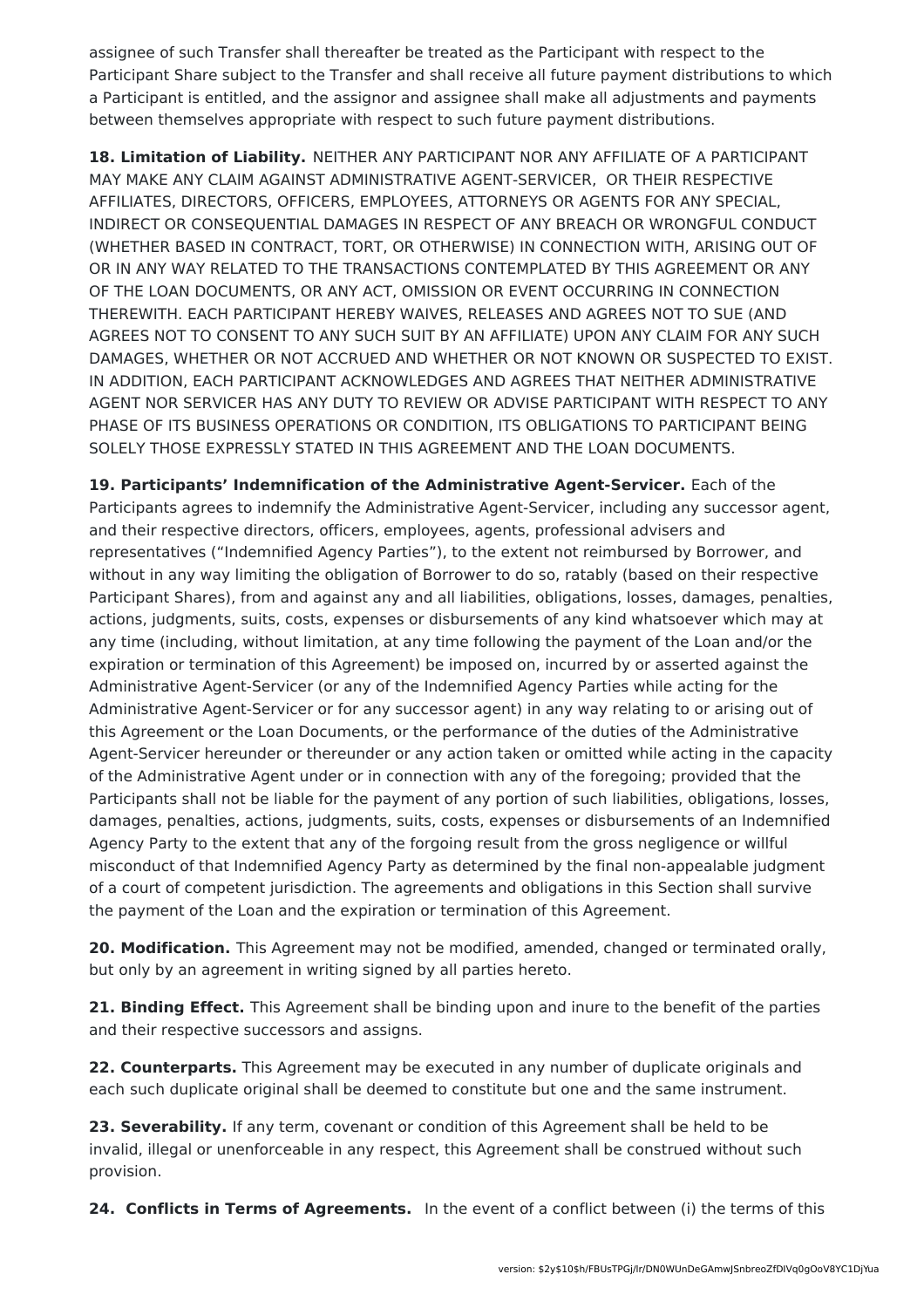assignee of such Transfer shall thereafter be treated as the Participant with respect to the Participant Share subject to the Transfer and shall receive all future payment distributions to which a Participant is entitled, and the assignor and assignee shall make all adjustments and payments between themselves appropriate with respect to such future payment distributions.

**18. Limitation of Liability.** NEITHER ANY PARTICIPANT NOR ANY AFFILIATE OF A PARTICIPANT MAY MAKE ANY CLAIM AGAINST ADMINISTRATIVE AGENT-SERVICER, OR THEIR RESPECTIVE AFFILIATES, DIRECTORS, OFFICERS, EMPLOYEES, ATTORNEYS OR AGENTS FOR ANY SPECIAL, INDIRECT OR CONSEQUENTIAL DAMAGES IN RESPECT OF ANY BREACH OR WRONGFUL CONDUCT (WHETHER BASED IN CONTRACT, TORT, OR OTHERWISE) IN CONNECTION WITH, ARISING OUT OF OR IN ANY WAY RELATED TO THE TRANSACTIONS CONTEMPLATED BY THIS AGREEMENT OR ANY OF THE LOAN DOCUMENTS, OR ANY ACT, OMISSION OR EVENT OCCURRING IN CONNECTION THEREWITH. EACH PARTICIPANT HEREBY WAIVES, RELEASES AND AGREES NOT TO SUE (AND AGREES NOT TO CONSENT TO ANY SUCH SUIT BY AN AFFILIATE) UPON ANY CLAIM FOR ANY SUCH DAMAGES, WHETHER OR NOT ACCRUED AND WHETHER OR NOT KNOWN OR SUSPECTED TO EXIST. IN ADDITION, EACH PARTICIPANT ACKNOWLEDGES AND AGREES THAT NEITHER ADMINISTRATIVE AGENT NOR SERVICER HAS ANY DUTY TO REVIEW OR ADVISE PARTICIPANT WITH RESPECT TO ANY PHASE OF ITS BUSINESS OPERATIONS OR CONDITION, ITS OBLIGATIONS TO PARTICIPANT BEING SOLELY THOSE EXPRESSLY STATED IN THIS AGREEMENT AND THE LOAN DOCUMENTS.

**19. Participants' Indemnification of the Administrative Agent-Servicer.** Each of the Participants agrees to indemnify the Administrative Agent-Servicer, including any successor agent, and their respective directors, officers, employees, agents, professional advisers and representatives ("Indemnified Agency Parties"), to the extent not reimbursed by Borrower, and without in any way limiting the obligation of Borrower to do so, ratably (based on their respective Participant Shares), from and against any and all liabilities, obligations, losses, damages, penalties, actions, judgments, suits, costs, expenses or disbursements of any kind whatsoever which may at any time (including, without limitation, at any time following the payment of the Loan and/or the expiration or termination of this Agreement) be imposed on, incurred by or asserted against the Administrative Agent-Servicer (or any of the Indemnified Agency Parties while acting for the Administrative Agent-Servicer or for any successor agent) in any way relating to or arising out of this Agreement or the Loan Documents, or the performance of the duties of the Administrative Agent-Servicer hereunder or thereunder or any action taken or omitted while acting in the capacity of the Administrative Agent under or in connection with any of the foregoing; provided that the Participants shall not be liable for the payment of any portion of such liabilities, obligations, losses, damages, penalties, actions, judgments, suits, costs, expenses or disbursements of an Indemnified Agency Party to the extent that any of the forgoing result from the gross negligence or willful misconduct of that Indemnified Agency Party as determined by the final non-appealable judgment of a court of competent jurisdiction. The agreements and obligations in this Section shall survive the payment of the Loan and the expiration or termination of this Agreement.

**20. Modification.** This Agreement may not be modified, amended, changed or terminated orally, but only by an agreement in writing signed by all parties hereto.

**21. Binding Effect.** This Agreement shall be binding upon and inure to the benefit of the parties and their respective successors and assigns.

**22. Counterparts.** This Agreement may be executed in any number of duplicate originals and each such duplicate original shall be deemed to constitute but one and the same instrument.

**23. Severability.** If any term, covenant or condition of this Agreement shall be held to be invalid, illegal or unenforceable in any respect, this Agreement shall be construed without such provision.

**24. Conflicts in Terms of Agreements.** In the event of a conflict between (i) the terms of this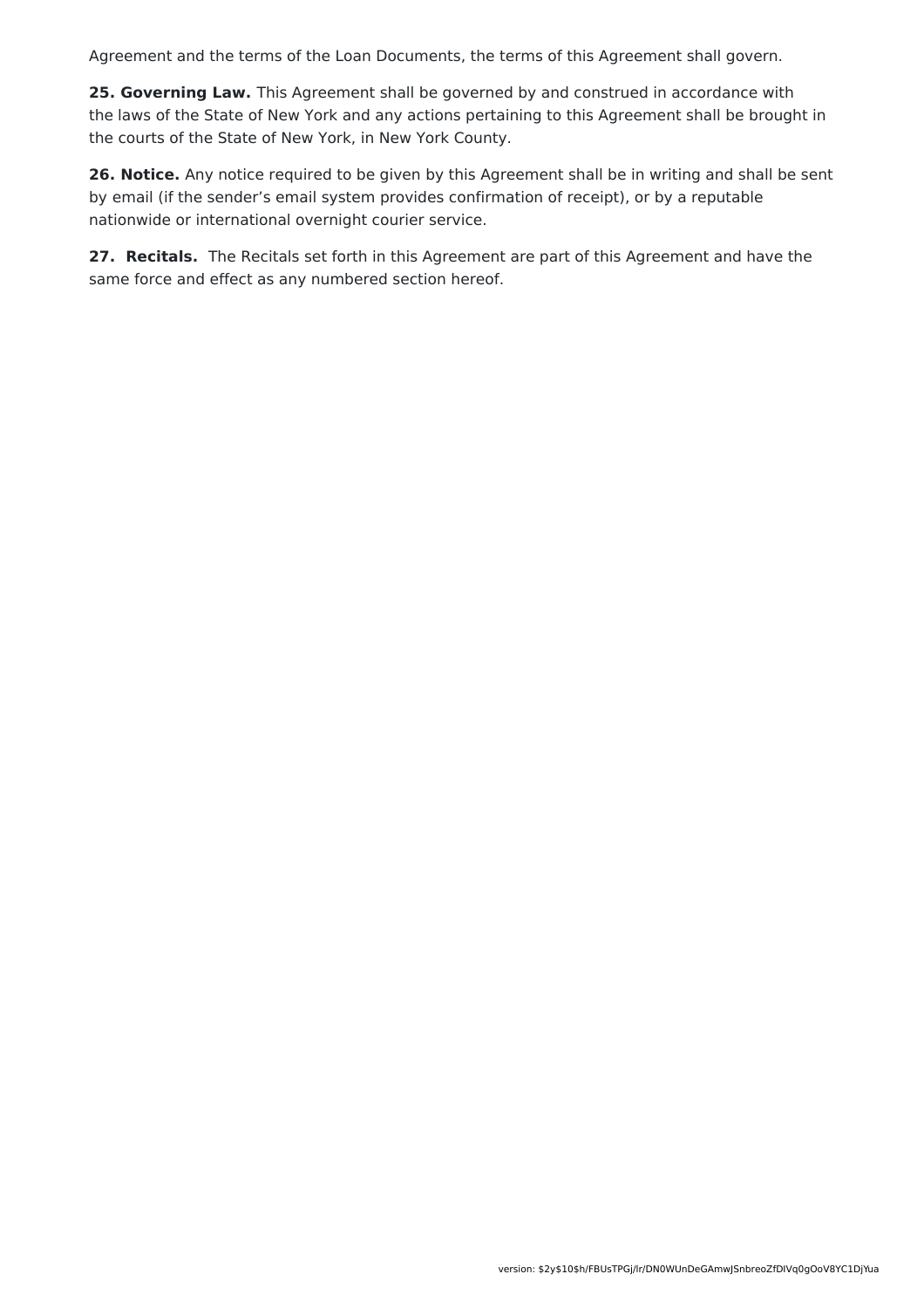Agreement and the terms of the Loan Documents, the terms of this Agreement shall govern.

**25. Governing Law.** This Agreement shall be governed by and construed in accordance with the laws of the State of New York and any actions pertaining to this Agreement shall be brought in the courts of the State of New York, in New York County.

**26. Notice.** Any notice required to be given by this Agreement shall be in writing and shall be sent by email (if the sender's email system provides confirmation of receipt), or by a reputable nationwide or international overnight courier service.

**27. Recitals.** The Recitals set forth in this Agreement are part of this Agreement and have the same force and effect as any numbered section hereof.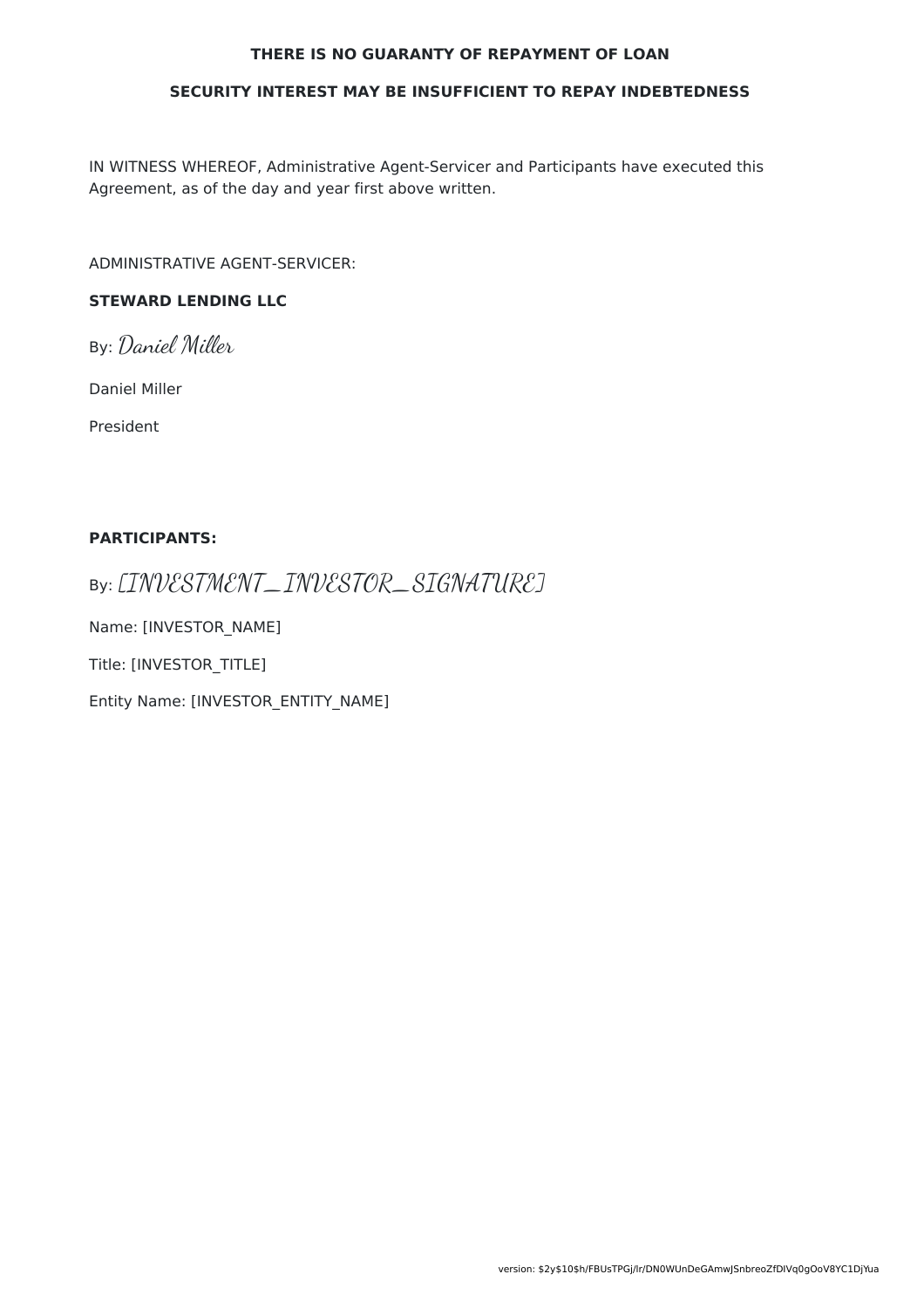#### **THERE IS NO GUARANTY OF REPAYMENT OF LOAN**

#### **SECURITY INTEREST MAY BE INSUFFICIENT TO REPAY INDEBTEDNESS**

IN WITNESS WHEREOF, Administrative Agent-Servicer and Participants have executed this Agreement, as of the day and year first above written.

ADMINISTRATIVE AGENT-SERVICER:

### **STEWARD LENDING LLC**

By: Daniel Miller

Daniel Miller

President

#### **PARTICIPANTS:**

By: [INVESTMENT\_INVESTOR\_SIGNATURE]

Name: [INVESTOR\_NAME]

Title: [INVESTOR\_TITLE]

Entity Name: [INVESTOR\_ENTITY\_NAME]